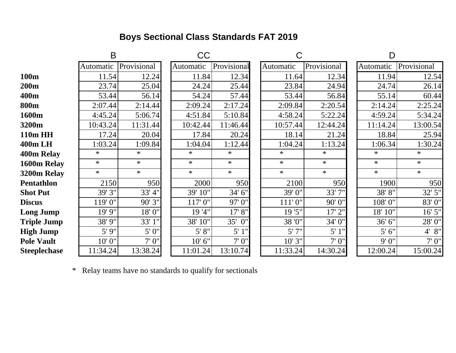## **Boys Sectional Class Standards FAT 2019**

|                     | B         |             |  | <b>CC</b> |             |  | С         |             |  | D         |             |  |
|---------------------|-----------|-------------|--|-----------|-------------|--|-----------|-------------|--|-----------|-------------|--|
|                     | Automatic | Provisional |  | Automatic | Provisional |  | Automatic | Provisional |  | Automatic | Provisional |  |
| 100 <sub>m</sub>    | 11.54     | 12.24       |  | 11.84     | 12.34       |  | 11.64     | 12.34       |  | 11.94     | 12.54       |  |
| 200m                | 23.74     | 25.04       |  | 24.24     | 25.44       |  | 23.84     | 24.94       |  | 24.74     | 26.14       |  |
| 400m                | 53.44     | 56.14       |  | 54.24     | 57.44       |  | 53.44     | 56.84       |  | 55.14     | 60.44       |  |
| <b>800m</b>         | 2:07.44   | 2:14.44     |  | 2:09.24   | 2:17.24     |  | 2:09.84   | 2:20.54     |  | 2:14.24   | 2:25.24     |  |
| 1600m               | 4:45.24   | 5:06.74     |  | 4:51.84   | 5:10.84     |  | 4:58.24   | 5:22.24     |  | 4:59.24   | 5:34.24     |  |
| 3200m               | 10:43.24  | 11:31.44    |  | 10:42.44  | 11:46.44    |  | 10:57.44  | 12:44.24    |  | 11:14.24  | 13:00.54    |  |
| <b>110m HH</b>      | 17.24     | 20.04       |  | 17.84     | 20.24       |  | 18.14     | 21.24       |  | 18.84     | 25.94       |  |
| 400m LH             | 1:03.24   | 1:09.84     |  | 1:04.04   | 1:12.44     |  | 1:04.24   | 1:13.24     |  | 1:06.34   | 1:30.24     |  |
| 400m Relay          | $\ast$    | $\ast$      |  | $\ast$    | $\ast$      |  | $\ast$    | $\ast$      |  | $\ast$    | $\ast$      |  |
| 1600m Relay         | $\ast$    | $\ast$      |  | $\ast$    | $\ast$      |  | $\ast$    | $\ast$      |  | $\ast$    | $\ast$      |  |
| 3200m Relay         | $\ast$    | $\ast$      |  | $\ast$    | $\ast$      |  | $\ast$    | $\ast$      |  | $\ast$    | $\ast$      |  |
| <b>Pentathlon</b>   | 2150      | 950         |  | 2000      | 950         |  | 2100      | 950         |  | 1900      | 950         |  |
| <b>Shot Put</b>     | 39' 3"    | 33' 4"      |  | 39' 10"   | 34' 6"      |  | 39'0"     | 33'7"       |  | 38'8"     | 32' 5"      |  |
| <b>Discus</b>       | 119'0"    | 90'3"       |  | 117'0"    | 97'0"       |  | 111'0''   | 90'0"       |  | 108'0"    | 83'0"       |  |
| <b>Long Jump</b>    | 19' 9"    | 18'0"       |  | 19'4"     | 17' 8"      |  | 19'5"     | 17' 2"      |  | 18' 10"   | 16' 5"      |  |
| <b>Triple Jump</b>  | 38' 9"    | 33' 1"      |  | 38' 10"   | 35' 0"      |  | 38 '0"    | 34'0"       |  | 36' 6"    | 28'0"       |  |
| <b>High Jump</b>    | 5'9''     | 5'0''       |  | 5' 8''    | $5'$ 1"     |  | 5'7''     | 5'1''       |  | 5' 6''    | 4' 8''      |  |
| <b>Pole Vault</b>   | 10'0"     | 7'0''       |  | 10' 6"    | 7'0''       |  | 10'3''    | 7'0''       |  | 9'0''     | 7'0''       |  |
| <b>Steeplechase</b> | 11:34.24  | 13:38.24    |  | 11:01.24  | 13:10.74    |  | 11:33.24  | 14:30.24    |  | 12:00.24  | 15:00.24    |  |

\* Relay teams have no standards to qualify for sectionals